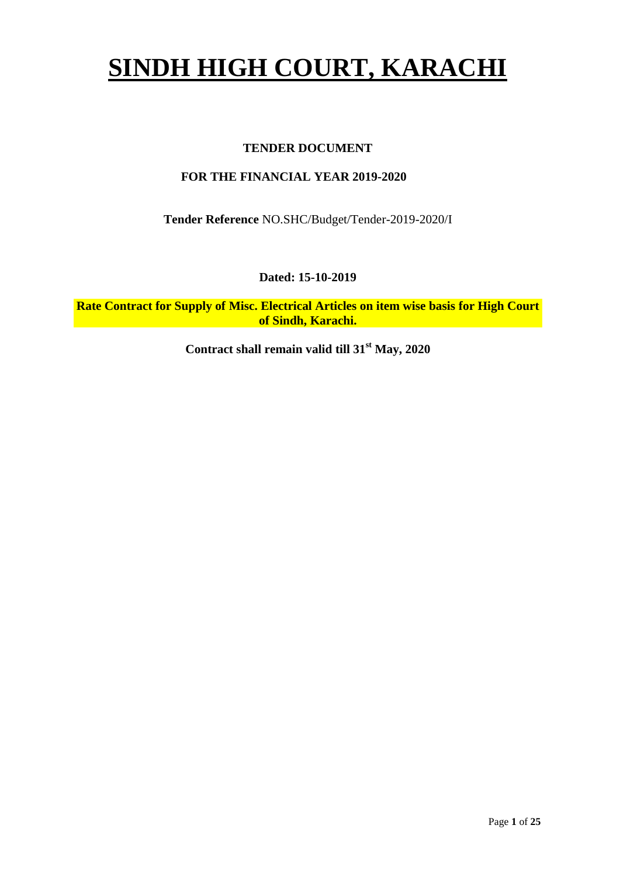# **SINDH HIGH COURT, KARACHI**

### **TENDER DOCUMENT**

### **FOR THE FINANCIAL YEAR 2019-2020**

**Tender Reference** NO.SHC/Budget/Tender-2019-2020/I

**Dated: 15-10-2019**

**Rate Contract for Supply of Misc. Electrical Articles on item wise basis for High Court of Sindh, Karachi.**

**Contract shall remain valid till 31st May, 2020**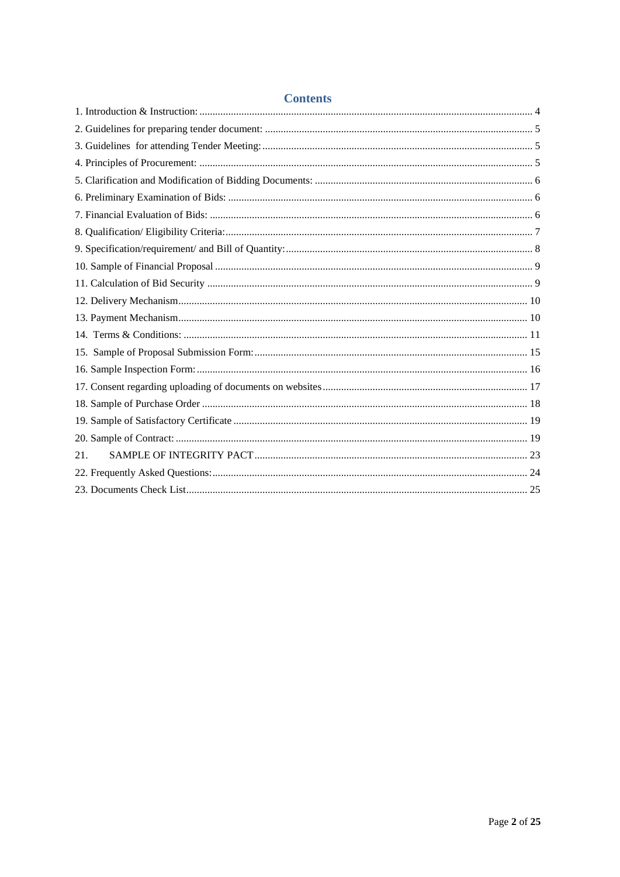| Contents |  |
|----------|--|
|          |  |
|          |  |
|          |  |
|          |  |
|          |  |
|          |  |
|          |  |
|          |  |
|          |  |
|          |  |
|          |  |
|          |  |
|          |  |
|          |  |
|          |  |
|          |  |
|          |  |
|          |  |
|          |  |
|          |  |
| 21.      |  |
|          |  |
|          |  |

### **Contents**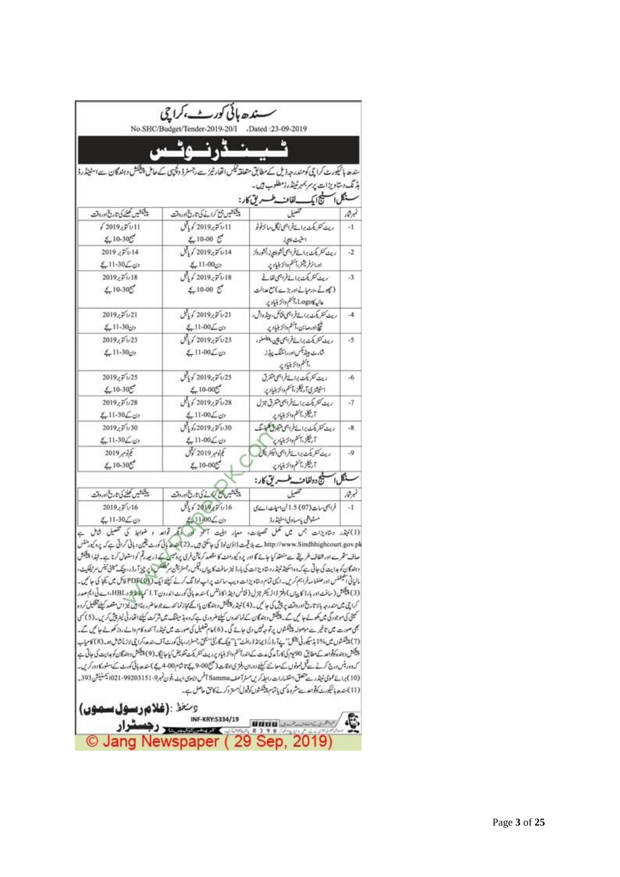|                               | سسندھ ہائی کوریے،کراچی<br>No.SHC/Budget/Tender-2019-20/I .Dated :23-09-2019 |                                                                                                                    |        |
|-------------------------------|-----------------------------------------------------------------------------|--------------------------------------------------------------------------------------------------------------------|--------|
|                               |                                                                             | سندھ ہائیکورٹ کراچی کومندرجہ ذیل کے مطابق متعلقہ ٹیکس اتحار ثیر سے رجسٹر ڈ دکچیں کے حامل پیشکش دہندگان سے اسٹینڈرڈ |        |
|                               |                                                                             | بڈ نگ دستاویز ات پرسر بمبر ٹینڈرزمطلوب ہیں۔<br>ينكل المسيج ايك لفات طسهر يق كار:                                   |        |
| پیشکشیں کھلنے کی تاریخ اوروقت | يشكشين بمخ كرانے كى تاريخ اوروقت                                            |                                                                                                                    | فبرثار |
| 1201925611                    | 2019 کوير2019 کوياتل                                                        | ويث كتريكث برائح فراجى ليكل مالحرفونو                                                                              | $-1$   |
| $£10-305$                     | $$10-00$ $$$                                                                | الخيث اليجاذ                                                                                                       |        |
| $2019 \times 7014$            | 2019 كوبر2019 كوياتل                                                        | ريث كثريكث برائح فراجمى شويهي زالشورداز                                                                            | $-2$   |
| دن کے 10-11 یک                | $£11-00$ راج                                                                | اورائر فمرشر بأعظم والزبنيادير                                                                                     |        |
| $2019 \sqrt{r}$ $\sqrt{18}$   | $\mathcal{J}_1$ / 2019 گربانی                                               | ريت كشريكت براسة فراجى لقاف                                                                                        | $-3$   |
| $£10-305$                     | $2.10 - 00$ $\sigma$                                                        | (مجوسے مدومیاتے اور بڑے) مع عدالت                                                                                  |        |
|                               |                                                                             | عاليه كان Logo ، آنخم والرَّبنياد پر                                                                               |        |
| 2019,7621                     | 31/2019,7/21                                                                | ريث كنريكت برائح فراجى فاكل، وينذوالس،                                                                             | $-4$   |
| ون 11-30 کے                   | دن کے11-00بے                                                                | لكا اورصائل، آنظم والرَّبنياد پر                                                                                   |        |
| 2019,7623                     | $\mathcal{J}_1$ / 2019 کوبالکل                                              | ريث كتريكث برائع فراجى يجن بغضلن                                                                                   | $-5$   |
| $\xi$ -11-30 دان              | ون کے 10-11بع                                                               | شارت ويفديكس اوررائيتك بيدفاز                                                                                      |        |
|                               |                                                                             | 分泌细管                                                                                                               |        |
| 2019,7625                     | 25 <i>مائين 2019 کي</i> ايل                                                 | ريت كتريكت براسة فراجى متقرق                                                                                       | $-6$   |
| $$10.30\text{C}$              | $$10-005$                                                                   | استيشرى آريكز بأسكم والزبنياديد                                                                                    |        |
| 2019,7/28                     | 28/أم 2019 كويل                                                             | ریٹ کشریکٹ برائے فراہمی متفرق جزل                                                                                  | $-7$   |
| $2.11 - 30 \angle \circ P$    | ون کے 10-11 یے                                                              | آريكر أعلموا تزبنياد با                                                                                            |        |
| 2019.5630                     | 30/ بائتوبر2019 کو پالیل                                                    | ريت كتريكت براسة فراجى جون كلينتك                                                                                  | $-8$   |
| $211 - 30 \leq 0$             | $211 - 00 \leq 0$                                                           | آريكلز أعظموا تزبنياديم                                                                                            |        |
| 2019, 77.                     | کونوبر 2019 کوتل                                                            | ریٹ کشریکٹ برائے فراہمی الیکٹریکل                                                                                  | $-9$   |
| $$10-30°$                     | $$10-005$                                                                   | 公共外行差                                                                                                              |        |
|                               |                                                                             | ينكل المستنيج دولفات وطسسر يق كار:                                                                                 |        |
| پیشکشیں تھلنے کی تاریخ اوروقت | پیشین می کنند کی ناری اوروقت                                                |                                                                                                                    | it L   |
| 2019,7/16                     | 5201925616                                                                  | فراجى سات (07) 1.5 شاسيات است كا                                                                                   |        |
|                               |                                                                             |                                                                                                                    | $-1$   |
| دن ک11-30 بی£                 | 51100                                                                       | مسثوبقى يإسبادى استينذرة                                                                                           |        |

tetp://www.Sindhhighcourt.gov.pk ے بلا قیمت ڈاڈن لوڈ کی جاسکتی ہیں۔(2) کھی کا بائی کورٹ لیٹین دبائی کراتی ہے کہ پر پروسٹس<br>صاف ستمرے اور شفاف طریقے سے منعقد کیا جائے گا اور پر دکھ رمضہ کا مقصد کر پشن فرق پر پر قیب کورٹ کو مالیاتی انگیلنس اور علفنا مذفراہم کریں۔ ایک تمام ونتاویزات ویب سائٹ پراپ لوڈ تک کرتے کیلئے ایک PDF(QV) میں تکا کی جا میں۔<br>مالیاتی انگیلنس اور علفنا مذفراہم کریں۔ ایک تمام ونتاویزات ویب سائٹ پراپ لوڈ تک کرتے کیلئے ایک PDF( (3) پیچینش (سافٹ اور بارڈ کا پیاں ) دفتر ڈائریکٹر جزل (قانس اینڈ اکاؤنٹس) سندھ بائی کورٹ اندرون I.T کی پیچھڑو ، HBL ،اے ٹی ایم صدر کراچی میں مندرجہ بالا تاریخ اوروقت پرچش کی جا میں۔(4) نینڈر پلیکشن وہندگان پااٹھے مجاز نما محد سے جوحا ضرر بنا اہل نیز اس مقصد کیلئے تکلیل کروہ | کیٹی کی موجود کی میں کولے جا کی گے۔ پیکش دہندگان کے تماسیدوں کیلئے ضروری ہے کہ وہ پڈ مینگ میں شرکت کیلئے اقدار ٹی لیز پیش کریں۔ (5) کسی می صورت میں تاثیر ہے موصولہ پینکشوں پر تو چڑیں دی جائے گی۔ (6)عام تعلیل کی صورت میں نیٹدرآ محدوکام والے روز تھولے جا کیں گے۔ (7) پىقىشىش مى»?1 بذسكىرنى بىلكل"پ آرۇر/ؤى نذۇرافت" يا" بىنك گارنى" بىخ رجسۇار، بانى كورت آف سندھەكرا پى لازماشاش بويە (8) كامياب پیکش دہندہ کوتوا مدے مطابق 90 یع کی کارآمدگی مدت کے اندراسلم وائز بنیاد پرریٹ تشریکٹ آنٹویش کیا جائیگا۔(9) پیکشش دہندگان کو ہدایت کی جاتی ہے کہ دور شن درج کرنے سے قبل نموڈوں کے معانے کیلئے دوران دفتر کی اوقات (سمج 600 بچے تاشام 400 بچے ) مندھ بالی کورٹ کے اسٹور کا دورکریں۔ (10) برائة عمومي نيشار ست متعلق استشارات رابط كرين مستراسف Samma آخس ايسوى ايت ،فون نمبر 9- 9203151-9920 بستينش 393\_ (11) سندھ ہائیکورٹ کوآوادرےشروط کی پاتمام پیکشوں کوتیول استرد کرتے کامی حاصل ہے۔

| <b>و شغط: (غلام رسول سموں)</b>         | INF-KRY:5334/19 |                                                                                                                                                                                                                                     |
|----------------------------------------|-----------------|-------------------------------------------------------------------------------------------------------------------------------------------------------------------------------------------------------------------------------------|
| Company Company of the Company Company |                 | <b>BREE</b> And Conservation of the Conservation of the Conservation of the Conservation of the Conservation of the Conservation of the Conservation of the Conservation of the Conservation of the Conservation of the Conservatio |
| © Jang Newspaper (29 Sep, 2019)        |                 |                                                                                                                                                                                                                                     |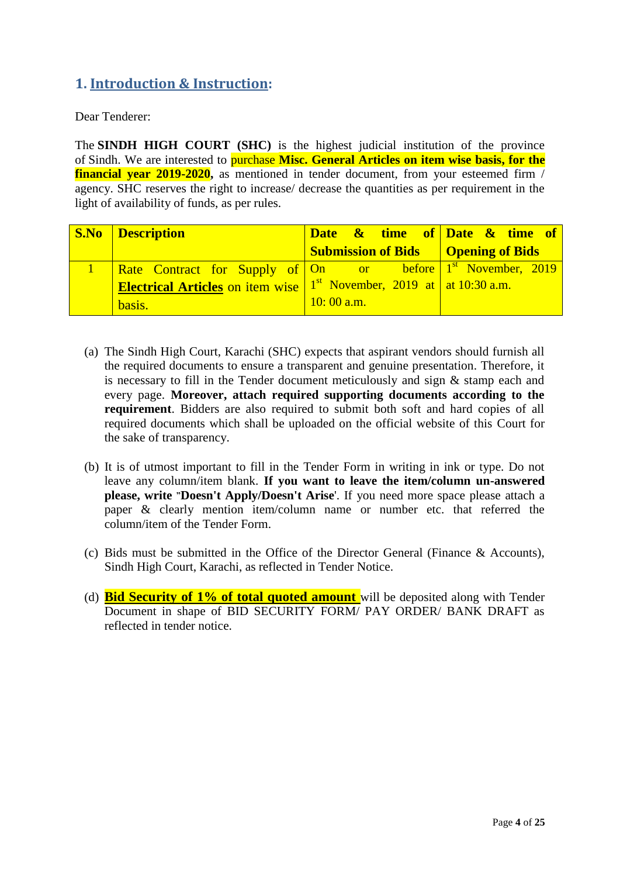### <span id="page-3-0"></span>**1. Introduction & Instruction:**

Dear Tenderer:

The **SINDH HIGH COURT (SHC)** is the highest judicial institution of the province of [Sindh.](https://en.wikipedia.org/wiki/Sindh) We are interested to purchase **Misc. General Articles on item wise basis, for the financial year 2019-2020**, as mentioned in tender document, from your esteemed firm / agency. SHC reserves the right to increase/ decrease the quantities as per requirement in the light of availability of funds, as per rules.

| <b>S.No Description</b>                                                        | Date & time of Date & time of                        |  |
|--------------------------------------------------------------------------------|------------------------------------------------------|--|
|                                                                                | <b>Submission of Bids Quantity   Opening of Bids</b> |  |
| <b>Rate Contract for Supply of On</b> or before 1 <sup>st</sup> November, 2019 |                                                      |  |
| <b>Electrical Articles</b> on item wise $1st$ November, 2019 at at 10:30 a.m.  |                                                      |  |
| basis.                                                                         | $10:00$ a.m.                                         |  |

- (a) The Sindh High Court, Karachi (SHC) expects that aspirant vendors should furnish all the required documents to ensure a transparent and genuine presentation. Therefore, it is necessary to fill in the Tender document meticulously and sign & stamp each and every page. **Moreover, attach required supporting documents according to the requirement**. Bidders are also required to submit both soft and hard copies of all required documents which shall be uploaded on the official website of this Court for the sake of transparency.
- (b) It is of utmost important to fill in the Tender Form in writing in ink or type. Do not leave any column/item blank. **If you want to leave the item/column un-answered please, write "Doesn't Apply/Doesn't Arise**'. If you need more space please attach a paper & clearly mention item/column name or number etc. that referred the column/item of the Tender Form.
- (c) Bids must be submitted in the Office of the Director General (Finance & Accounts), Sindh High Court, Karachi, as reflected in Tender Notice.
- (d) **Bid Security of 1% of total quoted amount** will be deposited along with Tender Document in shape of BID SECURITY FORM/ PAY ORDER/ BANK DRAFT as reflected in tender notice.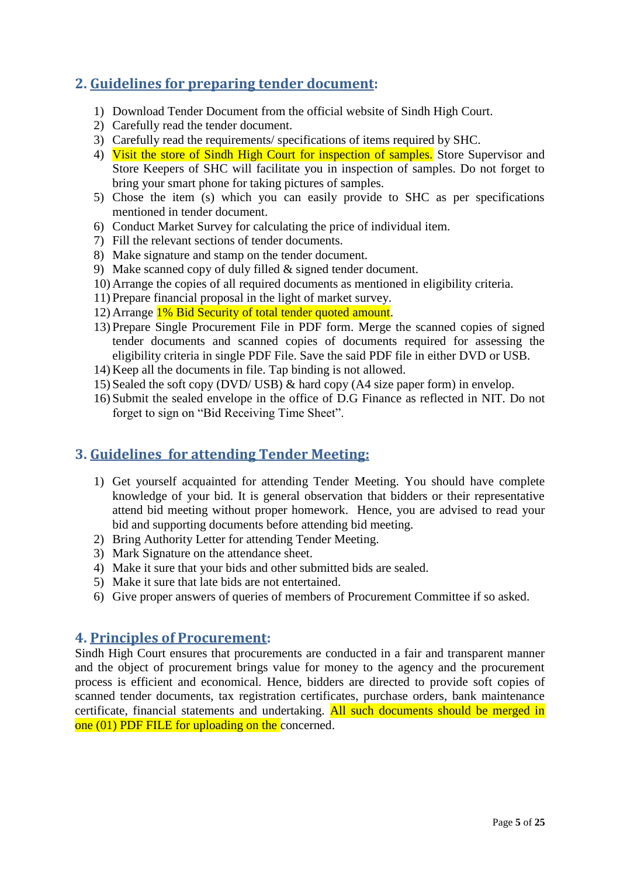### <span id="page-4-0"></span>**2. Guidelines for preparing tender document:**

- 1) Download Tender Document from the official website of Sindh High Court.
- 2) Carefully read the tender document.
- 3) Carefully read the requirements/ specifications of items required by SHC.
- 4) Visit the store of Sindh High Court for inspection of samples. Store Supervisor and Store Keepers of SHC will facilitate you in inspection of samples. Do not forget to bring your smart phone for taking pictures of samples.
- 5) Chose the item (s) which you can easily provide to SHC as per specifications mentioned in tender document.
- 6) Conduct Market Survey for calculating the price of individual item.
- 7) Fill the relevant sections of tender documents.
- 8) Make signature and stamp on the tender document.
- 9) Make scanned copy of duly filled & signed tender document.
- 10) Arrange the copies of all required documents as mentioned in eligibility criteria.
- 11) Prepare financial proposal in the light of market survey.
- 12) Arrange 1% Bid Security of total tender quoted amount.
- 13) Prepare Single Procurement File in PDF form. Merge the scanned copies of signed tender documents and scanned copies of documents required for assessing the eligibility criteria in single PDF File. Save the said PDF file in either DVD or USB.
- 14) Keep all the documents in file. Tap binding is not allowed.
- 15) Sealed the soft copy (DVD/ USB) & hard copy (A4 size paper form) in envelop.
- 16) Submit the sealed envelope in the office of D.G Finance as reflected in NIT. Do not forget to sign on "Bid Receiving Time Sheet".

### <span id="page-4-1"></span>**3. Guidelines for attending Tender Meeting:**

- 1) Get yourself acquainted for attending Tender Meeting. You should have complete knowledge of your bid. It is general observation that bidders or their representative attend bid meeting without proper homework. Hence, you are advised to read your bid and supporting documents before attending bid meeting.
- 2) Bring Authority Letter for attending Tender Meeting.
- 3) Mark Signature on the attendance sheet.
- 4) Make it sure that your bids and other submitted bids are sealed.
- 5) Make it sure that late bids are not entertained.
- <span id="page-4-2"></span>6) Give proper answers of queries of members of Procurement Committee if so asked.

### **4. Principles of Procurement:**

Sindh High Court ensures that procurements are conducted in a fair and transparent manner and the object of procurement brings value for money to the agency and the procurement process is efficient and economical. Hence, bidders are directed to provide soft copies of scanned tender documents, tax registration certificates, purchase orders, bank maintenance certificate, financial statements and undertaking. All such documents should be merged in one (01) PDF FILE for uploading on the concerned.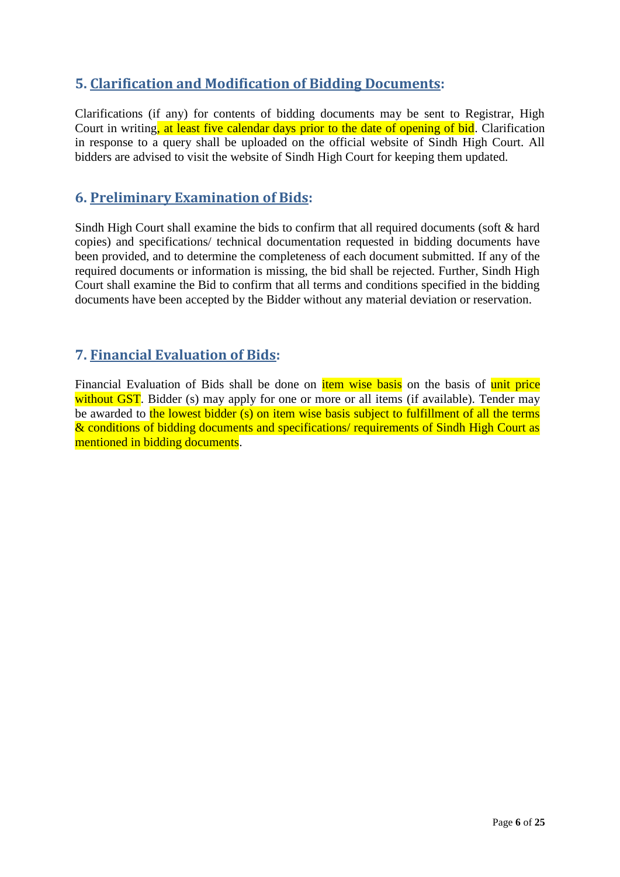### <span id="page-5-0"></span>**5. Clarification and Modification of Bidding Documents:**

Clarifications (if any) for contents of bidding documents may be sent to Registrar, High Court in writing, at least five calendar days prior to the date of opening of bid. Clarification in response to a query shall be uploaded on the official website of Sindh High Court. All bidders are advised to visit the website of Sindh High Court for keeping them updated.

### <span id="page-5-1"></span>**6. Preliminary Examination of Bids:**

Sindh High Court shall examine the bids to confirm that all required documents (soft & hard copies) and specifications/ technical documentation requested in bidding documents have been provided, and to determine the completeness of each document submitted. If any of the required documents or information is missing, the bid shall be rejected. Further, Sindh High Court shall examine the Bid to confirm that all terms and conditions specified in the bidding documents have been accepted by the Bidder without any material deviation or reservation.

### <span id="page-5-2"></span>**7. Financial Evaluation of Bids:**

Financial Evaluation of Bids shall be done on *item wise basis* on the basis of unit price without GST. Bidder (s) may apply for one or more or all items (if available). Tender may be awarded to the lowest bidder (s) on item wise basis subject to fulfillment of all the terms & conditions of bidding documents and specifications/ requirements of Sindh High Court as mentioned in bidding documents.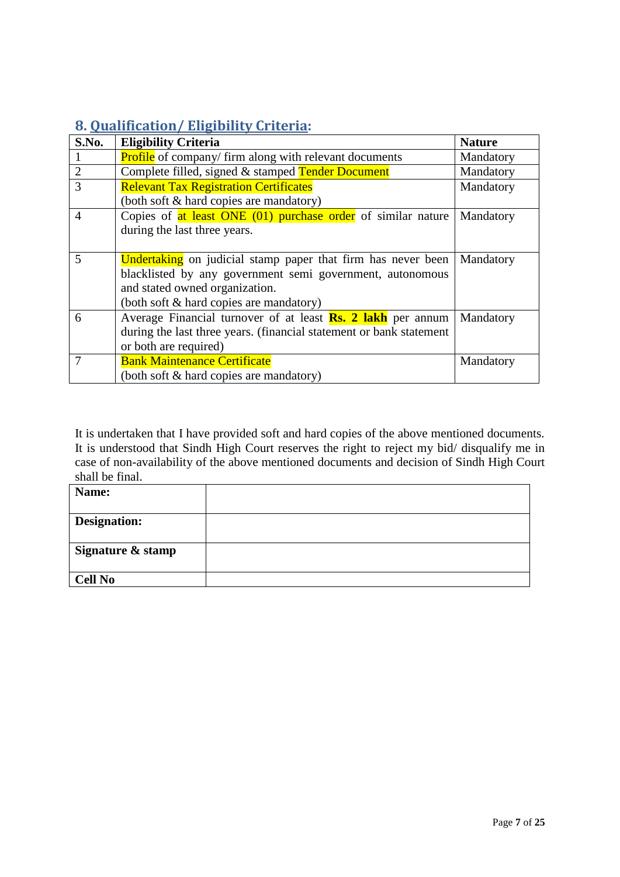# <span id="page-6-0"></span>**8. Qualification/ Eligibility Criteria:**

| S.No.          | <b>Eligibility Criteria</b>                                         | <b>Nature</b> |
|----------------|---------------------------------------------------------------------|---------------|
|                | <b>Profile</b> of company/firm along with relevant documents        | Mandatory     |
| $\overline{2}$ | Complete filled, signed & stamped Tender Document                   | Mandatory     |
| 3              | <b>Relevant Tax Registration Certificates</b>                       | Mandatory     |
|                | (both soft & hard copies are mandatory)                             |               |
| $\overline{4}$ | Copies of $at$ least ONE (01) purchase order of similar nature      | Mandatory     |
|                | during the last three years.                                        |               |
|                |                                                                     |               |
| 5              | <b>Undertaking</b> on judicial stamp paper that firm has never been | Mandatory     |
|                | blacklisted by any government semi government, autonomous           |               |
|                | and stated owned organization.                                      |               |
|                | (both soft & hard copies are mandatory)                             |               |
| 6              | Average Financial turnover of at least <b>Rs. 2 lakh</b> per annum  | Mandatory     |
|                | during the last three years. (financial statement or bank statement |               |
|                | or both are required)                                               |               |
|                | <b>Bank Maintenance Certificate</b>                                 | Mandatory     |
|                | (both soft & hard copies are mandatory)                             |               |

It is undertaken that I have provided soft and hard copies of the above mentioned documents. It is understood that Sindh High Court reserves the right to reject my bid/ disqualify me in case of non-availability of the above mentioned documents and decision of Sindh High Court shall be final.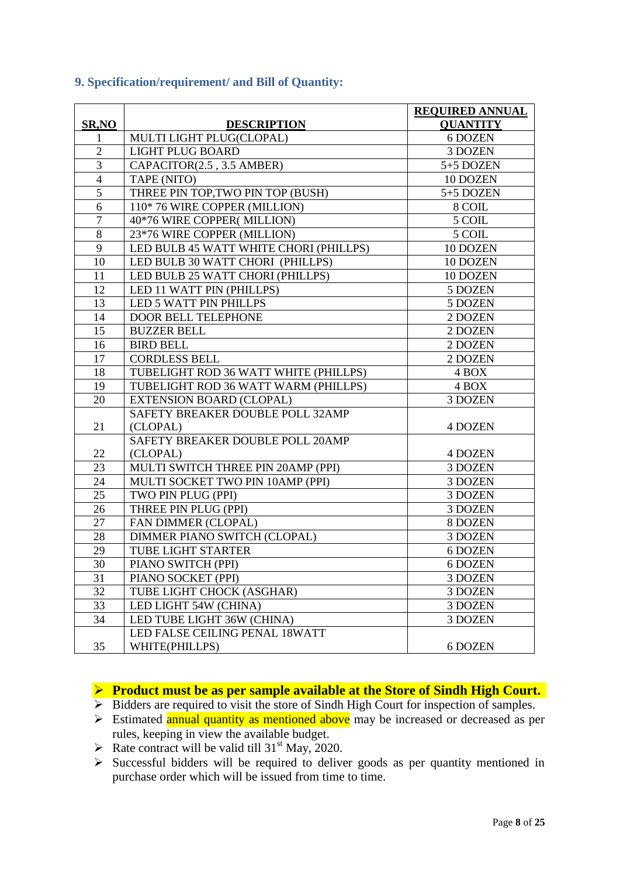|                |                                        | <b>REQUIRED ANNUAL</b> |
|----------------|----------------------------------------|------------------------|
| SR,NO          | <b>DESCRIPTION</b>                     | <b>QUANTITY</b>        |
| 1              | MULTI LIGHT PLUG(CLOPAL)               | 6 DOZEN                |
| $\overline{2}$ | <b>LIGHT PLUG BOARD</b>                | 3 DOZEN                |
| $\overline{3}$ | CAPACITOR(2.5, 3.5 AMBER)              | 5+5 DOZEN              |
| $\overline{4}$ | TAPE (NITO)                            | 10 DOZEN               |
| 5              | THREE PIN TOP, TWO PIN TOP (BUSH)      | 5+5 DOZEN              |
| 6              | 110* 76 WIRE COPPER (MILLION)          | 8 COIL                 |
| $\tau$         | 40*76 WIRE COPPER(MILLION)             | 5 COIL                 |
| $\overline{8}$ | 23*76 WIRE COPPER (MILLION)            | 5 COIL                 |
| $\overline{9}$ | LED BULB 45 WATT WHITE CHORI (PHILLPS) | 10 DOZEN               |
| 10             | LED BULB 30 WATT CHORI (PHILLPS)       | 10 DOZEN               |
| 11             | LED BULB 25 WATT CHORI (PHILLPS)       | 10 DOZEN               |
| 12             | LED 11 WATT PIN (PHILLPS)              | 5 DOZEN                |
| 13             | LED 5 WATT PIN PHILLPS                 | 5 DOZEN                |
| 14             | DOOR BELL TELEPHONE                    | 2 DOZEN                |
| 15             | <b>BUZZER BELL</b>                     | 2 DOZEN                |
| 16             | <b>BIRD BELL</b>                       | 2 DOZEN                |
| 17             | <b>CORDLESS BELL</b>                   | 2 DOZEN                |
| 18             | TUBELIGHT ROD 36 WATT WHITE (PHILLPS)  | 4 BOX                  |
| 19             | TUBELIGHT ROD 36 WATT WARM (PHILLPS)   | 4 BOX                  |
| 20             | <b>EXTENSION BOARD (CLOPAL)</b>        | 3 DOZEN                |
|                | SAFETY BREAKER DOUBLE POLL 32AMP       |                        |
| 21             | (CLOPAL)                               | 4 DOZEN                |
|                | SAFETY BREAKER DOUBLE POLL 20AMP       |                        |
| 22             | (CLOPAL)                               | 4 DOZEN                |
| 23             | MULTI SWITCH THREE PIN 20AMP (PPI)     | 3 DOZEN                |
| 24             | MULTI SOCKET TWO PIN 10AMP (PPI)       | 3 DOZEN                |
| 25             | TWO PIN PLUG (PPI)                     | 3 DOZEN                |
| 26             | THREE PIN PLUG (PPI)                   | 3 DOZEN                |
| 27             | FAN DIMMER (CLOPAL)                    | 8 DOZEN                |
| 28             | DIMMER PIANO SWITCH (CLOPAL)           | 3 DOZEN                |
| 29             | TUBE LIGHT STARTER                     | 6 DOZEN                |
| 30             | PIANO SWITCH (PPI)                     | 6 DOZEN                |
| 31             | PIANO SOCKET (PPI)                     | 3 DOZEN                |
| 32             | TUBE LIGHT CHOCK (ASGHAR)              | 3 DOZEN                |
| 33             | LED LIGHT 54W (CHINA)                  | 3 DOZEN                |
| 34             | LED TUBE LIGHT 36W (CHINA)             | 3 DOZEN                |
|                | LED FALSE CEILING PENAL 18WATT         |                        |
| 35             | WHITE(PHILLPS)                         | 6 DOZEN                |

### <span id="page-7-0"></span>**9. Specification/requirement/ and Bill of Quantity:**

**Product must be as per sample available at the Store of Sindh High Court.** 

- $\triangleright$  Bidders are required to visit the store of Sindh High Court for inspection of samples.
- $\triangleright$  Estimated annual quantity as mentioned above may be increased or decreased as per rules, keeping in view the available budget.
- Rate contract will be valid till  $31<sup>st</sup>$  May, 2020.
- Successful bidders will be required to deliver goods as per quantity mentioned in purchase order which will be issued from time to time.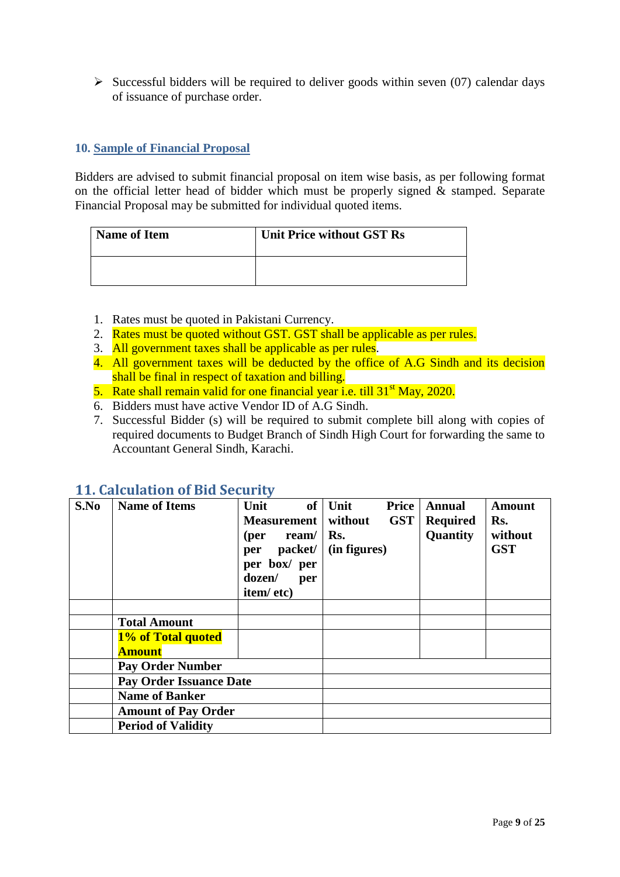$\triangleright$  Successful bidders will be required to deliver goods within seven (07) calendar days of issuance of purchase order.

### <span id="page-8-0"></span>**10. Sample of Financial Proposal**

Bidders are advised to submit financial proposal on item wise basis, as per following format on the official letter head of bidder which must be properly signed & stamped. Separate Financial Proposal may be submitted for individual quoted items.

| <b>Name of Item</b> | <b>Unit Price without GST Rs</b> |
|---------------------|----------------------------------|
|                     |                                  |

- 1. Rates must be quoted in Pakistani Currency.
- 2. Rates must be quoted without GST. GST shall be applicable as per rules.
- 3. All government taxes shall be applicable as per rules.
- 4. All government taxes will be deducted by the office of A.G Sindh and its decision shall be final in respect of taxation and billing.
- 5. Rate shall remain valid for one financial year i.e. till  $31<sup>st</sup>$  May, 2020.
- 6. Bidders must have active Vendor ID of A.G Sindh.
- 7. Successful Bidder (s) will be required to submit complete bill along with copies of required documents to Budget Branch of Sindh High Court for forwarding the same to Accountant General Sindh, Karachi.

| S.No | 11. Galcalation of Dia becal ity<br><b>Name of Items</b> | Unit<br><b>Measurement</b><br>ream/<br>(per<br>packet/<br>per | $of$ Unit<br>without<br>Rs.<br>(in figures) | <b>Price</b><br><b>GST</b> | <b>Annual</b><br><b>Required</b><br>Quantity | <b>Amount</b><br>Rs.<br>without<br><b>GST</b> |
|------|----------------------------------------------------------|---------------------------------------------------------------|---------------------------------------------|----------------------------|----------------------------------------------|-----------------------------------------------|
|      |                                                          | per box/ per<br>dozen/<br>per<br>item/etc)                    |                                             |                            |                                              |                                               |
|      |                                                          |                                                               |                                             |                            |                                              |                                               |
|      | <b>Total Amount</b>                                      |                                                               |                                             |                            |                                              |                                               |
|      | 1% of Total quoted                                       |                                                               |                                             |                            |                                              |                                               |
|      | <b>Amount</b>                                            |                                                               |                                             |                            |                                              |                                               |
|      | <b>Pay Order Number</b>                                  |                                                               |                                             |                            |                                              |                                               |
|      | <b>Pay Order Issuance Date</b>                           |                                                               |                                             |                            |                                              |                                               |
|      | <b>Name of Banker</b>                                    |                                                               |                                             |                            |                                              |                                               |
|      | <b>Amount of Pay Order</b>                               |                                                               |                                             |                            |                                              |                                               |
|      | <b>Period of Validity</b>                                |                                                               |                                             |                            |                                              |                                               |

### <span id="page-8-1"></span>**11. Calculation of Bid Security**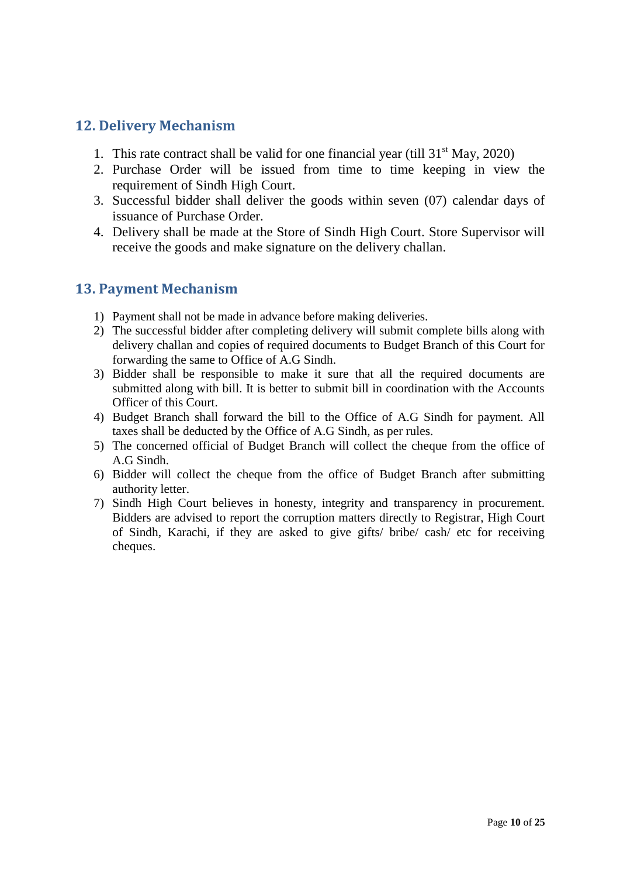### <span id="page-9-0"></span>**12. Delivery Mechanism**

- 1. This rate contract shall be valid for one financial year (till  $31<sup>st</sup>$  May, 2020)
- 2. Purchase Order will be issued from time to time keeping in view the requirement of Sindh High Court.
- 3. Successful bidder shall deliver the goods within seven (07) calendar days of issuance of Purchase Order.
- 4. Delivery shall be made at the Store of Sindh High Court. Store Supervisor will receive the goods and make signature on the delivery challan.

### <span id="page-9-1"></span>**13. Payment Mechanism**

- 1) Payment shall not be made in advance before making deliveries.
- 2) The successful bidder after completing delivery will submit complete bills along with delivery challan and copies of required documents to Budget Branch of this Court for forwarding the same to Office of A.G Sindh.
- 3) Bidder shall be responsible to make it sure that all the required documents are submitted along with bill. It is better to submit bill in coordination with the Accounts Officer of this Court.
- 4) Budget Branch shall forward the bill to the Office of A.G Sindh for payment. All taxes shall be deducted by the Office of A.G Sindh, as per rules.
- 5) The concerned official of Budget Branch will collect the cheque from the office of A.G Sindh.
- 6) Bidder will collect the cheque from the office of Budget Branch after submitting authority letter.
- 7) Sindh High Court believes in honesty, integrity and transparency in procurement. Bidders are advised to report the corruption matters directly to Registrar, High Court of Sindh, Karachi, if they are asked to give gifts/ bribe/ cash/ etc for receiving cheques.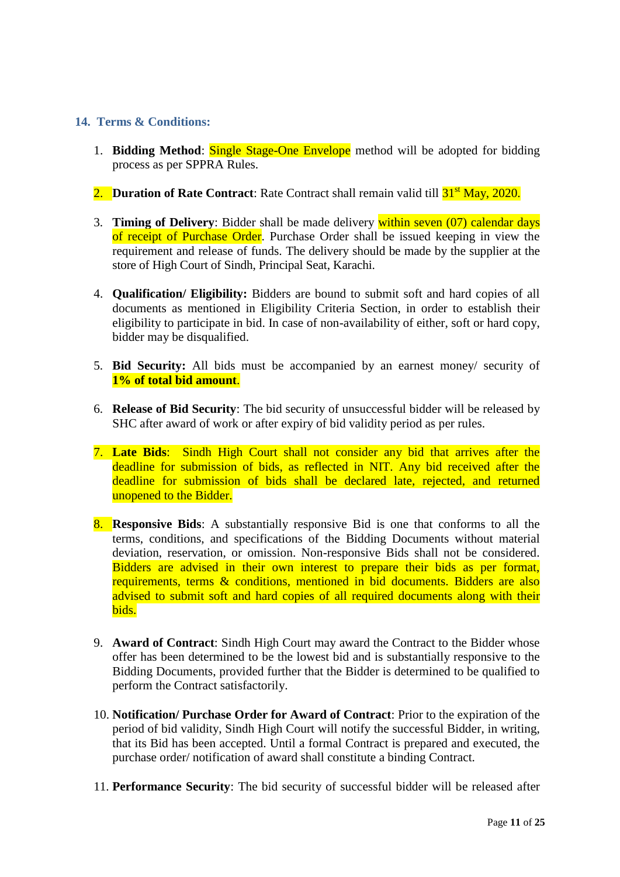### <span id="page-10-0"></span>**14. Terms & Conditions:**

- 1. **Bidding Method**: Single Stage-One Envelope method will be adopted for bidding process as per SPPRA Rules.
- 2. **Duration of Rate Contract**: Rate Contract shall remain valid till  $31<sup>st</sup>$  May, 2020.
- 3. **Timing of Delivery**: Bidder shall be made delivery within seven (07) calendar days of receipt of Purchase Order. Purchase Order shall be issued keeping in view the requirement and release of funds. The delivery should be made by the supplier at the store of High Court of Sindh, Principal Seat, Karachi.
- 4. **Qualification/ Eligibility:** Bidders are bound to submit soft and hard copies of all documents as mentioned in Eligibility Criteria Section, in order to establish their eligibility to participate in bid. In case of non-availability of either, soft or hard copy, bidder may be disqualified.
- 5. **Bid Security:** All bids must be accompanied by an earnest money/ security of **1% of total bid amount**.
- 6. **Release of Bid Security**: The bid security of unsuccessful bidder will be released by SHC after award of work or after expiry of bid validity period as per rules.
- 7. **Late Bids**: Sindh High Court shall not consider any bid that arrives after the deadline for submission of bids, as reflected in NIT. Any bid received after the deadline for submission of bids shall be declared late, rejected, and returned unopened to the Bidder.
- 8. **Responsive Bids**: A substantially responsive Bid is one that conforms to all the terms, conditions, and specifications of the Bidding Documents without material deviation, reservation, or omission. Non-responsive Bids shall not be considered. Bidders are advised in their own interest to prepare their bids as per format, requirements, terms & conditions, mentioned in bid documents. Bidders are also advised to submit soft and hard copies of all required documents along with their bids.
- 9. **Award of Contract**: Sindh High Court may award the Contract to the Bidder whose offer has been determined to be the lowest bid and is substantially responsive to the Bidding Documents, provided further that the Bidder is determined to be qualified to perform the Contract satisfactorily.
- 10. **Notification/ Purchase Order for Award of Contract**: Prior to the expiration of the period of bid validity, Sindh High Court will notify the successful Bidder, in writing, that its Bid has been accepted. Until a formal Contract is prepared and executed, the purchase order/ notification of award shall constitute a binding Contract.
- 11. **Performance Security**: The bid security of successful bidder will be released after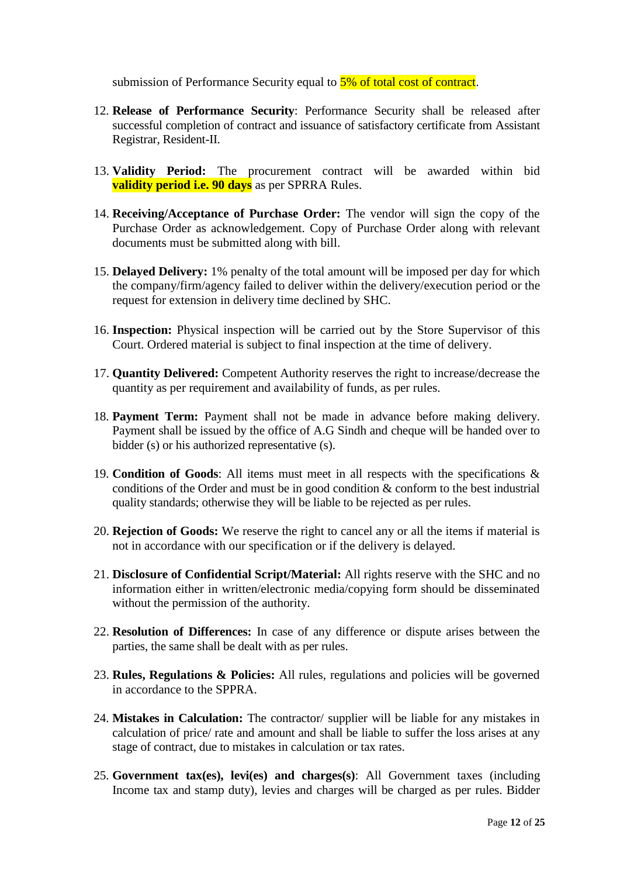submission of Performance Security equal to  $5\%$  of total cost of contract.

- 12. **Release of Performance Security**: Performance Security shall be released after successful completion of contract and issuance of satisfactory certificate from Assistant Registrar, Resident-II.
- 13. **Validity Period:** The procurement contract will be awarded within bid **validity period i.e. 90 days** as per SPRRA Rules.
- 14. **Receiving/Acceptance of Purchase Order:** The vendor will sign the copy of the Purchase Order as acknowledgement. Copy of Purchase Order along with relevant documents must be submitted along with bill.
- 15. **Delayed Delivery:** 1% penalty of the total amount will be imposed per day for which the company/firm/agency failed to deliver within the delivery/execution period or the request for extension in delivery time declined by SHC.
- 16. **Inspection:** Physical inspection will be carried out by the Store Supervisor of this Court. Ordered material is subject to final inspection at the time of delivery.
- 17. **Quantity Delivered:** Competent Authority reserves the right to increase/decrease the quantity as per requirement and availability of funds, as per rules.
- 18. **Payment Term:** Payment shall not be made in advance before making delivery. Payment shall be issued by the office of A.G Sindh and cheque will be handed over to bidder (s) or his authorized representative (s).
- 19. **Condition of Goods**: All items must meet in all respects with the specifications & conditions of the Order and must be in good condition & conform to the best industrial quality standards; otherwise they will be liable to be rejected as per rules.
- 20. **Rejection of Goods:** We reserve the right to cancel any or all the items if material is not in accordance with our specification or if the delivery is delayed.
- 21. **Disclosure of Confidential Script/Material:** All rights reserve with the SHC and no information either in written/electronic media/copying form should be disseminated without the permission of the authority.
- 22. **Resolution of Differences:** In case of any difference or dispute arises between the parties, the same shall be dealt with as per rules.
- 23. **Rules, Regulations & Policies:** All rules, regulations and policies will be governed in accordance to the SPPRA.
- 24. **Mistakes in Calculation:** The contractor/ supplier will be liable for any mistakes in calculation of price/ rate and amount and shall be liable to suffer the loss arises at any stage of contract, due to mistakes in calculation or tax rates.
- 25. **Government tax(es), levi(es) and charges(s)**: All Government taxes (including Income tax and stamp duty), levies and charges will be charged as per rules. Bidder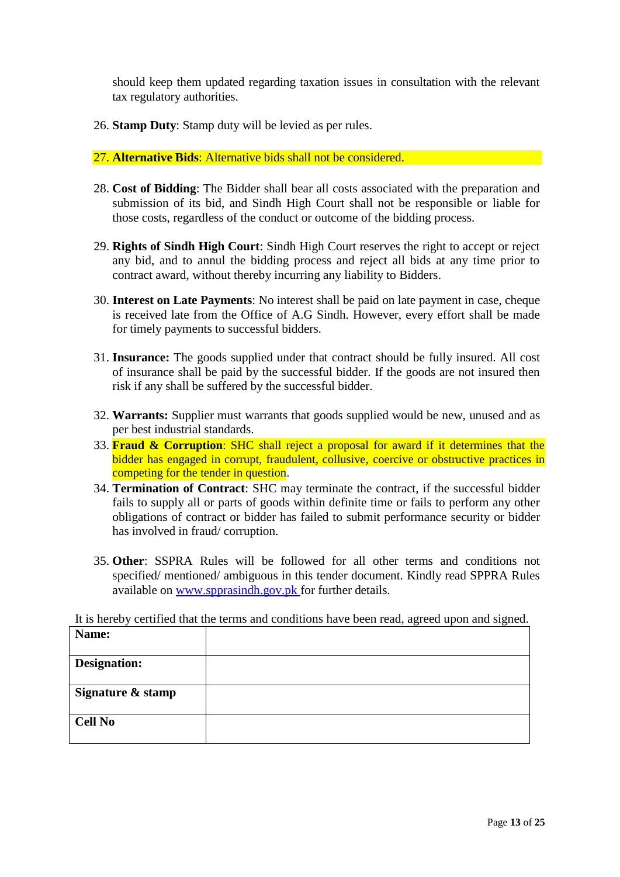should keep them updated regarding taxation issues in consultation with the relevant tax regulatory authorities.

26. **Stamp Duty**: Stamp duty will be levied as per rules.

### 27. **Alternative Bids**: Alternative bids shall not be considered.

- 28. **Cost of Bidding**: The Bidder shall bear all costs associated with the preparation and submission of its bid, and Sindh High Court shall not be responsible or liable for those costs, regardless of the conduct or outcome of the bidding process.
- 29. **Rights of Sindh High Court**: Sindh High Court reserves the right to accept or reject any bid, and to annul the bidding process and reject all bids at any time prior to contract award, without thereby incurring any liability to Bidders.
- 30. **Interest on Late Payments**: No interest shall be paid on late payment in case, cheque is received late from the Office of A.G Sindh. However, every effort shall be made for timely payments to successful bidders.
- 31. **Insurance:** The goods supplied under that contract should be fully insured. All cost of insurance shall be paid by the successful bidder. If the goods are not insured then risk if any shall be suffered by the successful bidder.
- 32. **Warrants:** Supplier must warrants that goods supplied would be new, unused and as per best industrial standards.
- 33. **Fraud & Corruption**: SHC shall reject a proposal for award if it determines that the bidder has engaged in corrupt, fraudulent, collusive, coercive or obstructive practices in competing for the tender in question.
- 34. **Termination of Contract**: SHC may terminate the contract, if the successful bidder fails to supply all or parts of goods within definite time or fails to perform any other obligations of contract or bidder has failed to submit performance security or bidder has involved in fraud/ corruption.
- 35. **Other**: SSPRA Rules will be followed for all other terms and conditions not specified/ mentioned/ ambiguous in this tender document. Kindly read SPPRA Rules available on [www.spprasindh.gov.pk](http://www.spprasindh.gov.pk/) for further details.

It is hereby certified that the terms and conditions have been read, agreed upon and signed.

| Name:               |  |
|---------------------|--|
| <b>Designation:</b> |  |
| Signature & stamp   |  |
| <b>Cell No</b>      |  |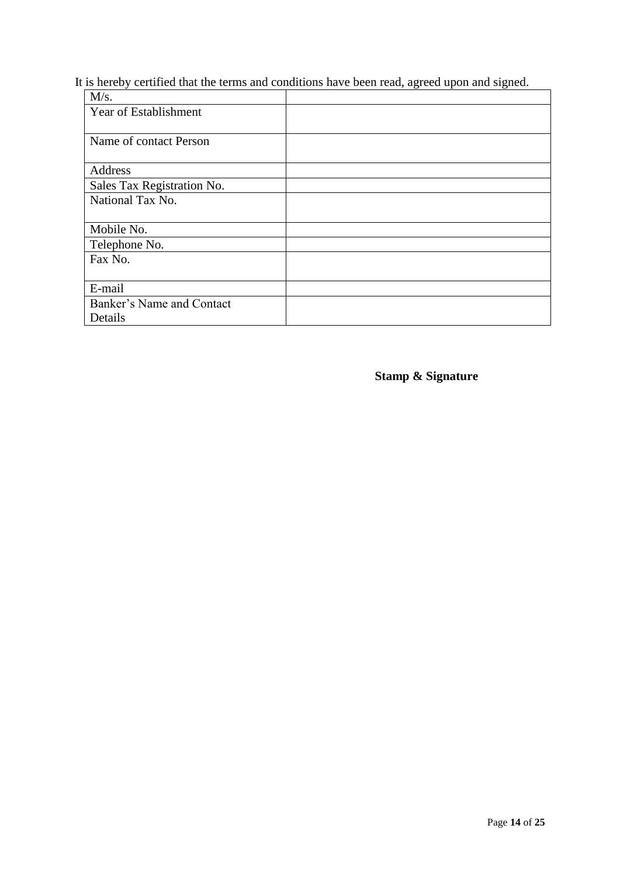It is hereby certified that the terms and conditions have been read, agreed upon and signed.

| M/s.                       |  |
|----------------------------|--|
| Year of Establishment      |  |
|                            |  |
| Name of contact Person     |  |
| Address                    |  |
| Sales Tax Registration No. |  |
| National Tax No.           |  |
|                            |  |
| Mobile No.                 |  |
| Telephone No.              |  |
| Fax No.                    |  |
|                            |  |
| E-mail                     |  |
| Banker's Name and Contact  |  |
| Details                    |  |

**Stamp & Signature**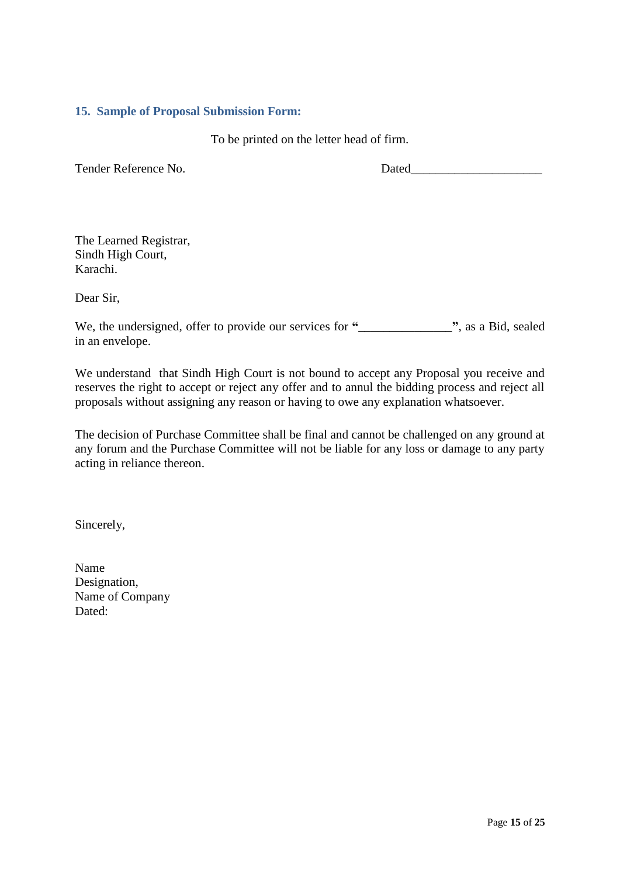#### <span id="page-14-0"></span>**15. Sample of Proposal Submission Form:**

To be printed on the letter head of firm.

Tender Reference No. 2008 Dated

The Learned Registrar, Sindh High Court, Karachi.

Dear Sir,

We, the undersigned, offer to provide our services for **"\_\_\_\_\_\_\_\_\_\_\_\_\_\_\_"**, as a Bid, sealed in an envelope.

We understand that Sindh High Court is not bound to accept any Proposal you receive and reserves the right to accept or reject any offer and to annul the bidding process and reject all proposals without assigning any reason or having to owe any explanation whatsoever.

The decision of Purchase Committee shall be final and cannot be challenged on any ground at any forum and the Purchase Committee will not be liable for any loss or damage to any party acting in reliance thereon.

Sincerely,

Name Designation, Name of Company Dated: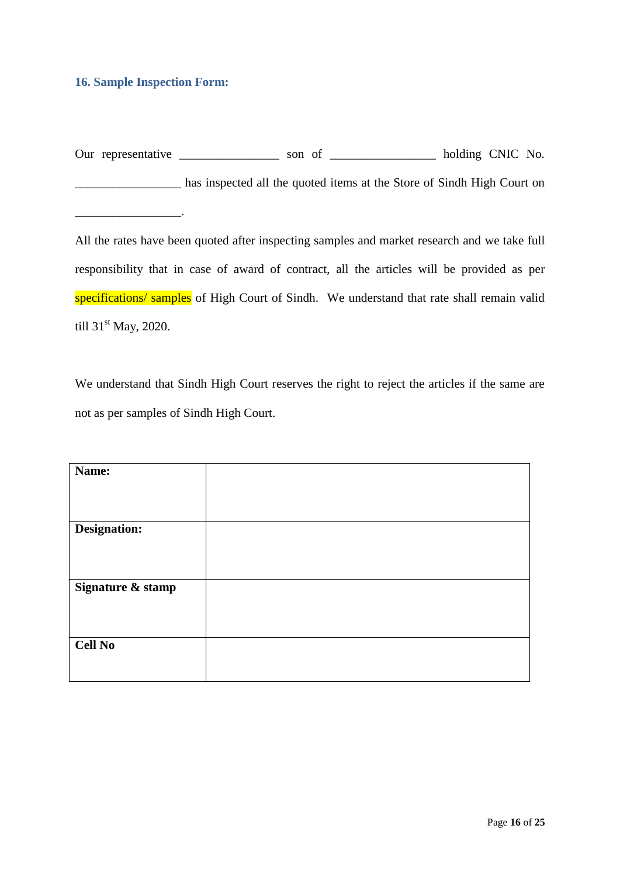### <span id="page-15-0"></span>**16. Sample Inspection Form:**

 $\mathcal{L}=\mathcal{L}=\mathcal{L}=\mathcal{L}=\mathcal{L}=\mathcal{L}=\mathcal{L}$ 

Our representative \_\_\_\_\_\_\_\_\_\_\_\_\_\_\_\_\_ son of \_\_\_\_\_\_\_\_\_\_\_\_\_\_\_\_\_ holding CNIC No. \_\_\_\_\_\_\_\_\_\_\_\_\_\_\_\_\_ has inspected all the quoted items at the Store of Sindh High Court on

All the rates have been quoted after inspecting samples and market research and we take full responsibility that in case of award of contract, all the articles will be provided as per specifications/ samples of High Court of Sindh. We understand that rate shall remain valid till  $31<sup>st</sup>$  May, 2020.

We understand that Sindh High Court reserves the right to reject the articles if the same are not as per samples of Sindh High Court.

| Name:             |  |
|-------------------|--|
|                   |  |
|                   |  |
| Designation:      |  |
|                   |  |
|                   |  |
| Signature & stamp |  |
|                   |  |
|                   |  |
| <b>Cell No</b>    |  |
|                   |  |
|                   |  |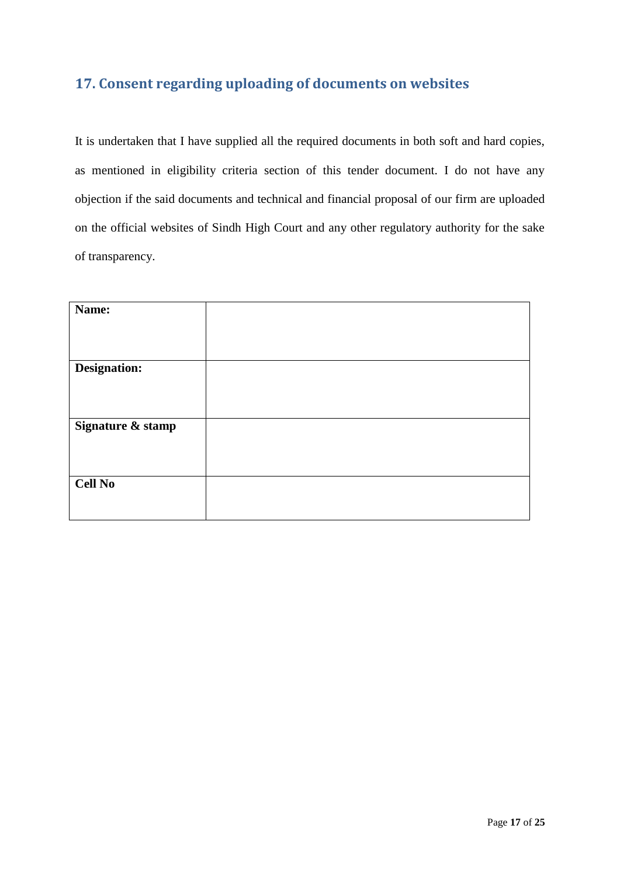### <span id="page-16-0"></span>**17. Consent regarding uploading of documents on websites**

It is undertaken that I have supplied all the required documents in both soft and hard copies, as mentioned in eligibility criteria section of this tender document. I do not have any objection if the said documents and technical and financial proposal of our firm are uploaded on the official websites of Sindh High Court and any other regulatory authority for the sake of transparency.

| Name:             |  |
|-------------------|--|
|                   |  |
|                   |  |
| Designation:      |  |
|                   |  |
|                   |  |
| Signature & stamp |  |
|                   |  |
|                   |  |
| <b>Cell No</b>    |  |
|                   |  |
|                   |  |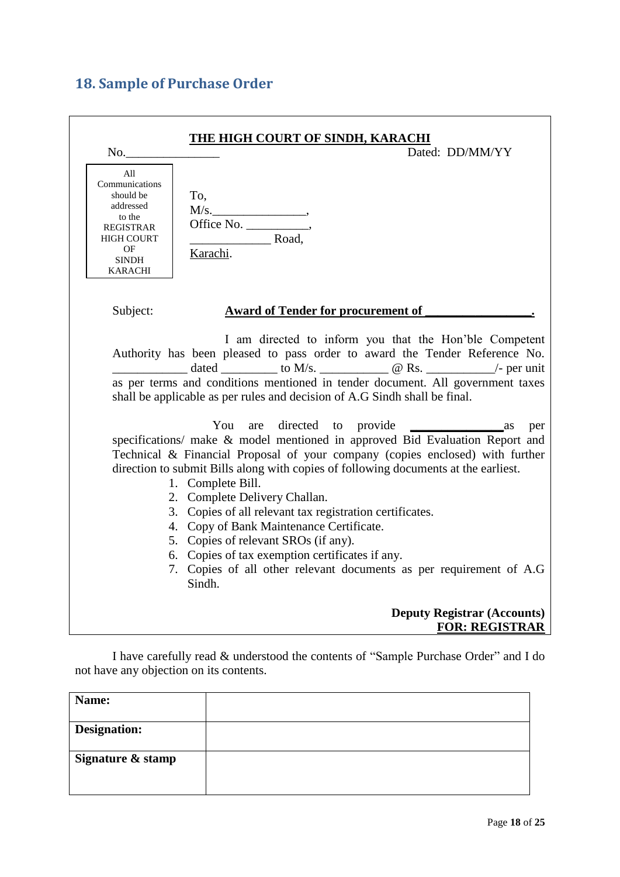## <span id="page-17-0"></span>**18. Sample of Purchase Order**

| No.                                                                                                                                               | <u>THE HIGH COURT OF SINDH, KARACHI</u><br>Dated: DD/MM/YY                                                                                                                                                                                                                                                                                                                                                                                                                                                                                                                                                                       |
|---------------------------------------------------------------------------------------------------------------------------------------------------|----------------------------------------------------------------------------------------------------------------------------------------------------------------------------------------------------------------------------------------------------------------------------------------------------------------------------------------------------------------------------------------------------------------------------------------------------------------------------------------------------------------------------------------------------------------------------------------------------------------------------------|
| All<br>Communications<br>should be<br>To,<br>addressed<br>to the<br><b>REGISTRAR</b><br><b>HIGH COURT</b><br>OF<br><b>SINDH</b><br><b>KARACHI</b> | M/s.<br>Road,<br>Karachi.                                                                                                                                                                                                                                                                                                                                                                                                                                                                                                                                                                                                        |
| Subject:                                                                                                                                          | <b>Award of Tender for procurement of</b>                                                                                                                                                                                                                                                                                                                                                                                                                                                                                                                                                                                        |
|                                                                                                                                                   | I am directed to inform you that the Hon'ble Competent<br>Authority has been pleased to pass order to award the Tender Reference No.<br>as per terms and conditions mentioned in tender document. All government taxes<br>shall be applicable as per rules and decision of A.G Sindh shall be final.                                                                                                                                                                                                                                                                                                                             |
|                                                                                                                                                   | You<br>$\frac{1}{2}$ as<br>per<br>specifications/ make & model mentioned in approved Bid Evaluation Report and<br>Technical & Financial Proposal of your company (copies enclosed) with further<br>direction to submit Bills along with copies of following documents at the earliest.<br>1. Complete Bill.<br>2. Complete Delivery Challan.<br>3. Copies of all relevant tax registration certificates.<br>4. Copy of Bank Maintenance Certificate.<br>5. Copies of relevant SROs (if any).<br>6. Copies of tax exemption certificates if any.<br>7. Copies of all other relevant documents as per requirement of A.G<br>Sindh. |
|                                                                                                                                                   | <b>Deputy Registrar (Accounts)</b><br><b>FOR: REGISTRAR</b>                                                                                                                                                                                                                                                                                                                                                                                                                                                                                                                                                                      |

I have carefully read & understood the contents of "Sample Purchase Order" and I do not have any objection on its contents.

| Name:             |  |
|-------------------|--|
| Designation:      |  |
| Signature & stamp |  |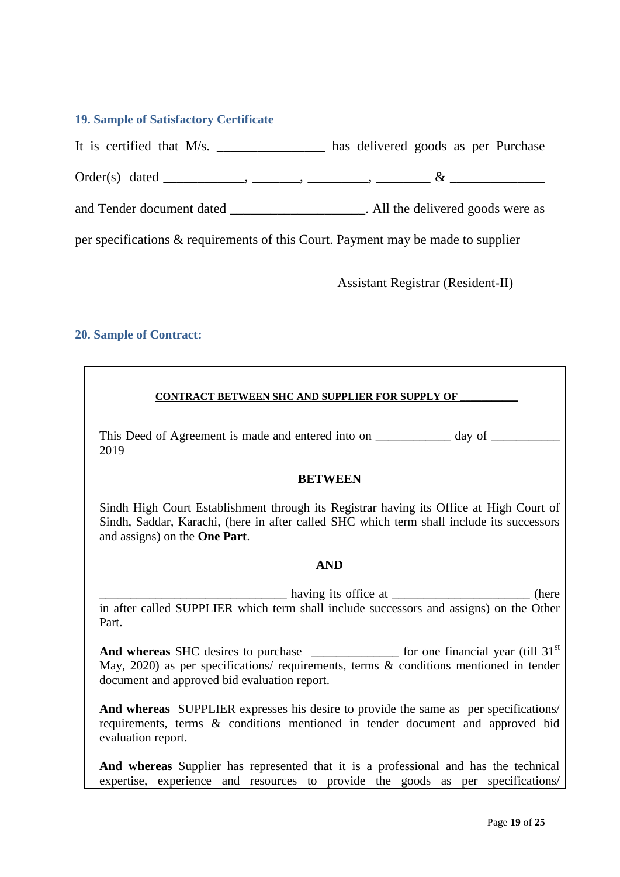#### <span id="page-18-0"></span>**19. Sample of Satisfactory Certificate**

It is certified that M/s. \_\_\_\_\_\_\_\_\_\_\_\_\_\_\_\_ has delivered goods as per Purchase

Order(s) dated \_\_\_\_\_\_\_\_\_\_\_\_, \_\_\_\_\_\_\_, \_\_\_\_\_\_\_\_\_, \_\_\_\_\_\_\_\_ & \_\_\_\_\_\_\_\_\_\_\_\_\_\_

and Tender document dated \_\_\_\_\_\_\_\_\_\_\_\_\_\_\_\_\_\_\_\_\_\_. All the delivered goods were as

per specifications & requirements of this Court. Payment may be made to supplier

Assistant Registrar (Resident-II)

### <span id="page-18-1"></span>**20. Sample of Contract:**

#### **CONTRACT BETWEEN SHC AND SUPPLIER FOR SUPPLY OF \_\_\_\_\_\_\_\_\_\_\_**

This Deed of Agreement is made and entered into on \_\_\_\_\_\_\_\_\_\_ day of \_\_\_\_\_\_\_\_\_\_\_ 2019

#### **BETWEEN**

Sindh High Court Establishment through its Registrar having its Office at High Court of Sindh, Saddar, Karachi, (here in after called SHC which term shall include its successors and assigns) on the **One Part**.

#### **AND**

having its office at \_\_\_\_\_\_\_\_\_\_\_\_\_\_\_\_\_\_\_\_\_\_\_\_\_\_ (here in after called SUPPLIER which term shall include successors and assigns) on the Other Part.

And whereas SHC desires to purchase for one financial year (till 31<sup>st</sup>) May, 2020) as per specifications/ requirements, terms & conditions mentioned in tender document and approved bid evaluation report.

**And whereas** SUPPLIER expresses his desire to provide the same as per specifications/ requirements, terms & conditions mentioned in tender document and approved bid evaluation report.

**And whereas** Supplier has represented that it is a professional and has the technical expertise, experience and resources to provide the goods as per specifications/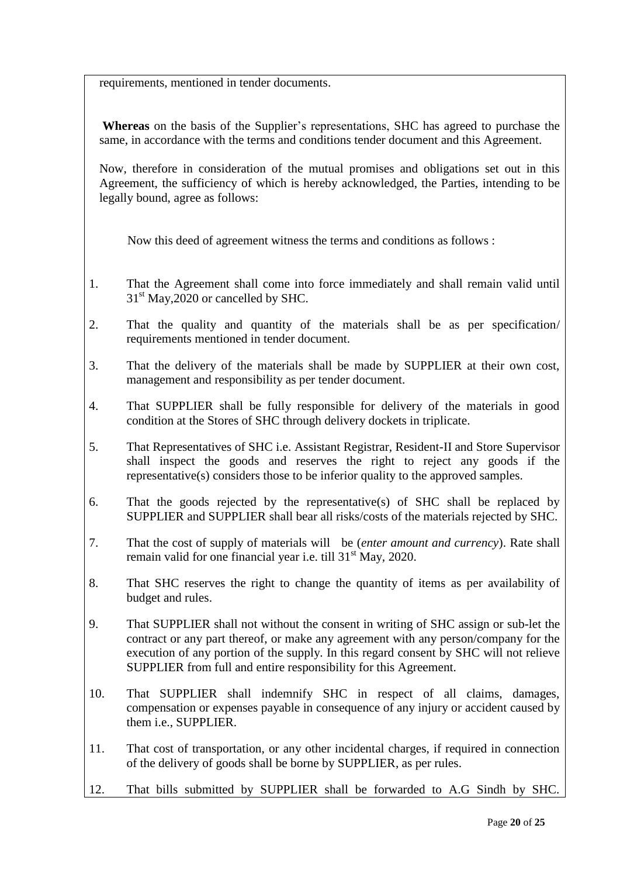requirements, mentioned in tender documents.

**Whereas** on the basis of the Supplier"s representations, SHC has agreed to purchase the same, in accordance with the terms and conditions tender document and this Agreement.

Now, therefore in consideration of the mutual promises and obligations set out in this Agreement, the sufficiency of which is hereby acknowledged, the Parties, intending to be legally bound, agree as follows:

Now this deed of agreement witness the terms and conditions as follows :

- 1. That the Agreement shall come into force immediately and shall remain valid until  $31<sup>st</sup>$  May, 2020 or cancelled by SHC.
- 2. That the quality and quantity of the materials shall be as per specification/ requirements mentioned in tender document.
- 3. That the delivery of the materials shall be made by SUPPLIER at their own cost, management and responsibility as per tender document.
- 4. That SUPPLIER shall be fully responsible for delivery of the materials in good condition at the Stores of SHC through delivery dockets in triplicate.
- 5. That Representatives of SHC i.e. Assistant Registrar, Resident-II and Store Supervisor shall inspect the goods and reserves the right to reject any goods if the representative(s) considers those to be inferior quality to the approved samples.
- 6. That the goods rejected by the representative(s) of SHC shall be replaced by SUPPLIER and SUPPLIER shall bear all risks/costs of the materials rejected by SHC.
- 7. That the cost of supply of materials will be (*enter amount and currency*). Rate shall remain valid for one financial year i.e. till 31<sup>st</sup> May, 2020.
- 8. That SHC reserves the right to change the quantity of items as per availability of budget and rules.
- 9. That SUPPLIER shall not without the consent in writing of SHC assign or sub-let the contract or any part thereof, or make any agreement with any person/company for the execution of any portion of the supply. In this regard consent by SHC will not relieve SUPPLIER from full and entire responsibility for this Agreement.
- 10. That SUPPLIER shall indemnify SHC in respect of all claims, damages, compensation or expenses payable in consequence of any injury or accident caused by them i.e., SUPPLIER.
- 11. That cost of transportation, or any other incidental charges, if required in connection of the delivery of goods shall be borne by SUPPLIER, as per rules.
- 12. That bills submitted by SUPPLIER shall be forwarded to A.G Sindh by SHC.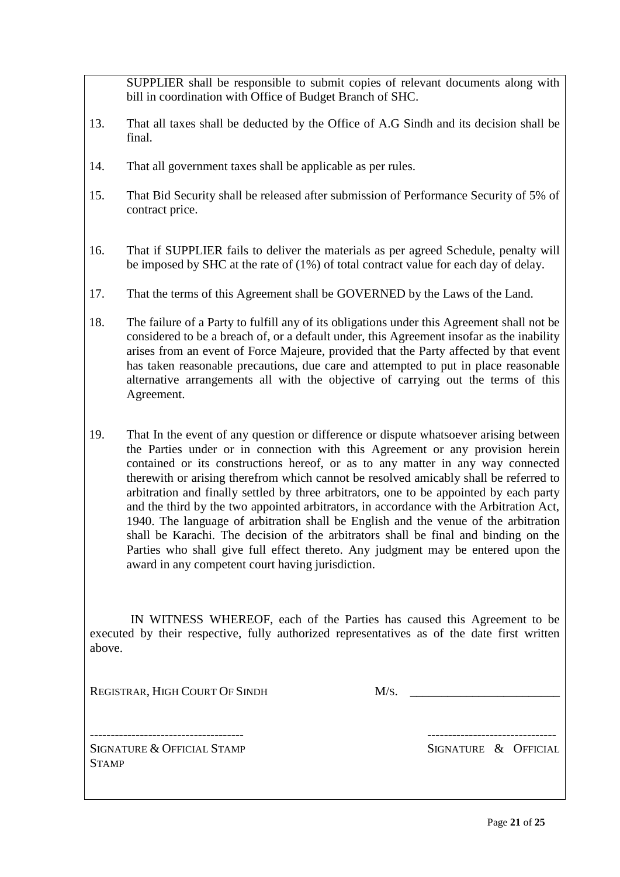SUPPLIER shall be responsible to submit copies of relevant documents along with bill in coordination with Office of Budget Branch of SHC.

- 13. That all taxes shall be deducted by the Office of A.G Sindh and its decision shall be final.
- 14. That all government taxes shall be applicable as per rules.
- 15. That Bid Security shall be released after submission of Performance Security of 5% of contract price.
- 16. That if SUPPLIER fails to deliver the materials as per agreed Schedule, penalty will be imposed by SHC at the rate of (1%) of total contract value for each day of delay.
- 17. That the terms of this Agreement shall be GOVERNED by the Laws of the Land.
- 18. The failure of a Party to fulfill any of its obligations under this Agreement shall not be considered to be a breach of, or a default under, this Agreement insofar as the inability arises from an event of Force Majeure, provided that the Party affected by that event has taken reasonable precautions, due care and attempted to put in place reasonable alternative arrangements all with the objective of carrying out the terms of this Agreement.
- 19. That In the event of any question or difference or dispute whatsoever arising between the Parties under or in connection with this Agreement or any provision herein contained or its constructions hereof, or as to any matter in any way connected therewith or arising therefrom which cannot be resolved amicably shall be referred to arbitration and finally settled by three arbitrators, one to be appointed by each party and the third by the two appointed arbitrators, in accordance with the Arbitration Act, 1940. The language of arbitration shall be English and the venue of the arbitration shall be Karachi. The decision of the arbitrators shall be final and binding on the Parties who shall give full effect thereto. Any judgment may be entered upon the award in any competent court having jurisdiction.

 IN WITNESS WHEREOF, each of the Parties has caused this Agreement to be executed by their respective, fully authorized representatives as of the date first written above.

REGISTRAR, HIGH COURT OF SINDH M/S.

SIGNATURE & OFFICIAL STAMP SIGNATURE & OFFICIAL **STAMP** 

------------------------------------- -------------------------------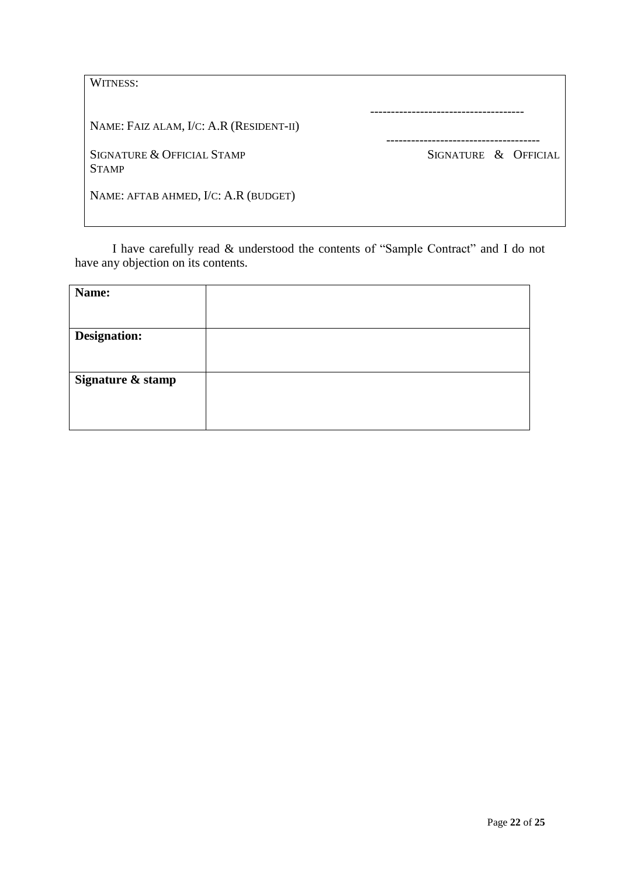| WITNESS:                                   |                      |
|--------------------------------------------|----------------------|
| NAME: FAIZ ALAM, I/C: A.R (RESIDENT-II)    |                      |
| SIGNATURE & OFFICIAL STAMP<br><b>STAMP</b> | SIGNATURE & OFFICIAL |
| NAME: AFTAB AHMED, I/C: A.R (BUDGET)       |                      |

I have carefully read & understood the contents of "Sample Contract" and I do not have any objection on its contents.

| Name:               |  |
|---------------------|--|
|                     |  |
| <b>Designation:</b> |  |
|                     |  |
| Signature & stamp   |  |
|                     |  |
|                     |  |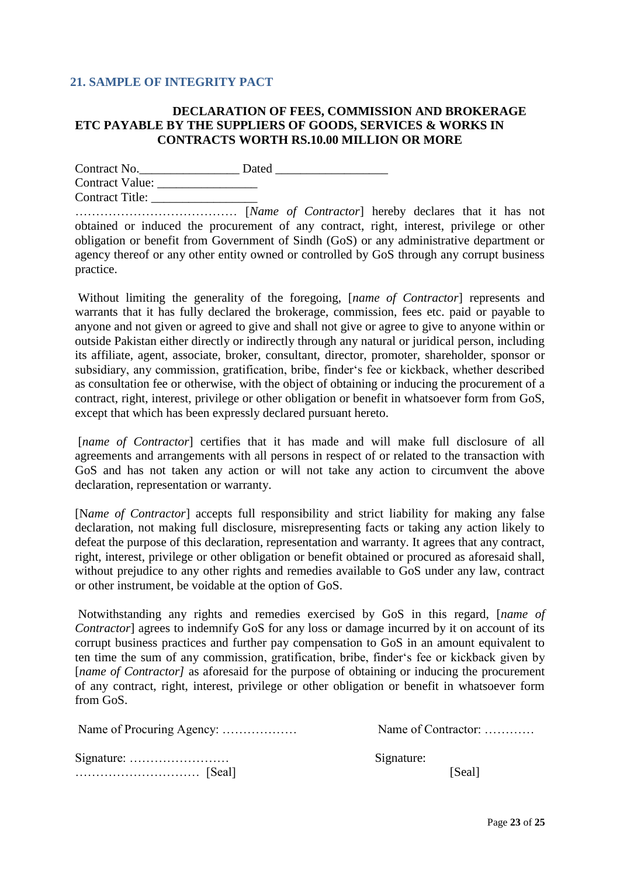### <span id="page-22-0"></span>**21. SAMPLE OF INTEGRITY PACT**

### **DECLARATION OF FEES, COMMISSION AND BROKERAGE ETC PAYABLE BY THE SUPPLIERS OF GOODS, SERVICES & WORKS IN CONTRACTS WORTH RS.10.00 MILLION OR MORE**

Contract No.\_\_\_\_\_\_\_\_\_\_\_\_\_\_\_\_ Dated \_\_\_\_\_\_\_\_\_\_\_\_\_\_\_\_\_\_ Contract Value: \_\_\_\_\_\_\_\_\_\_\_\_\_\_\_\_ Contract Title: \_\_\_\_\_\_\_\_\_\_\_\_\_\_\_\_\_

………………………………… [*Name of Contractor*] hereby declares that it has not obtained or induced the procurement of any contract, right, interest, privilege or other obligation or benefit from Government of Sindh (GoS) or any administrative department or agency thereof or any other entity owned or controlled by GoS through any corrupt business practice.

Without limiting the generality of the foregoing, [*name of Contractor*] represents and warrants that it has fully declared the brokerage, commission, fees etc. paid or payable to anyone and not given or agreed to give and shall not give or agree to give to anyone within or outside Pakistan either directly or indirectly through any natural or juridical person, including its affiliate, agent, associate, broker, consultant, director, promoter, shareholder, sponsor or subsidiary, any commission, gratification, bribe, finder"s fee or kickback, whether described as consultation fee or otherwise, with the object of obtaining or inducing the procurement of a contract, right, interest, privilege or other obligation or benefit in whatsoever form from GoS, except that which has been expressly declared pursuant hereto.

[*name of Contractor*] certifies that it has made and will make full disclosure of all agreements and arrangements with all persons in respect of or related to the transaction with GoS and has not taken any action or will not take any action to circumvent the above declaration, representation or warranty.

[N*ame of Contractor*] accepts full responsibility and strict liability for making any false declaration, not making full disclosure, misrepresenting facts or taking any action likely to defeat the purpose of this declaration, representation and warranty. It agrees that any contract, right, interest, privilege or other obligation or benefit obtained or procured as aforesaid shall, without prejudice to any other rights and remedies available to GoS under any law, contract or other instrument, be voidable at the option of GoS.

Notwithstanding any rights and remedies exercised by GoS in this regard, [*name of Contractor*] agrees to indemnify GoS for any loss or damage incurred by it on account of its corrupt business practices and further pay compensation to GoS in an amount equivalent to ten time the sum of any commission, gratification, bribe, finder"s fee or kickback given by [*name of Contractor*] as aforesaid for the purpose of obtaining or inducing the procurement of any contract, right, interest, privilege or other obligation or benefit in whatsoever form from GoS.

|                                                        | Name of Contractor: |
|--------------------------------------------------------|---------------------|
| Signature: $\dots \dots \dots \dots \dots \dots \dots$ | Signature:          |
|                                                        | [Seal]              |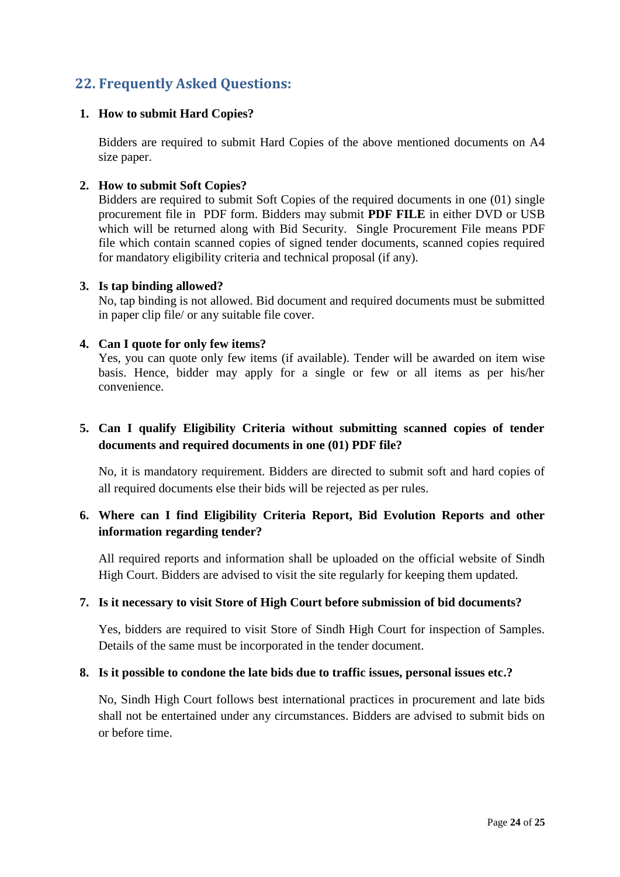### <span id="page-23-0"></span>**22. Frequently Asked Questions:**

### **1. How to submit Hard Copies?**

Bidders are required to submit Hard Copies of the above mentioned documents on A4 size paper.

### **2. How to submit Soft Copies?**

Bidders are required to submit Soft Copies of the required documents in one (01) single procurement file in PDF form. Bidders may submit **PDF FILE** in either DVD or USB which will be returned along with Bid Security. Single Procurement File means PDF file which contain scanned copies of signed tender documents, scanned copies required for mandatory eligibility criteria and technical proposal (if any).

#### **3. Is tap binding allowed?**

No, tap binding is not allowed. Bid document and required documents must be submitted in paper clip file/ or any suitable file cover.

### **4. Can I quote for only few items?**

Yes, you can quote only few items (if available). Tender will be awarded on item wise basis. Hence, bidder may apply for a single or few or all items as per his/her convenience.

### **5. Can I qualify Eligibility Criteria without submitting scanned copies of tender documents and required documents in one (01) PDF file?**

No, it is mandatory requirement. Bidders are directed to submit soft and hard copies of all required documents else their bids will be rejected as per rules.

### **6. Where can I find Eligibility Criteria Report, Bid Evolution Reports and other information regarding tender?**

All required reports and information shall be uploaded on the official website of Sindh High Court. Bidders are advised to visit the site regularly for keeping them updated.

#### **7. Is it necessary to visit Store of High Court before submission of bid documents?**

Yes, bidders are required to visit Store of Sindh High Court for inspection of Samples. Details of the same must be incorporated in the tender document.

### **8. Is it possible to condone the late bids due to traffic issues, personal issues etc.?**

No, Sindh High Court follows best international practices in procurement and late bids shall not be entertained under any circumstances. Bidders are advised to submit bids on or before time.